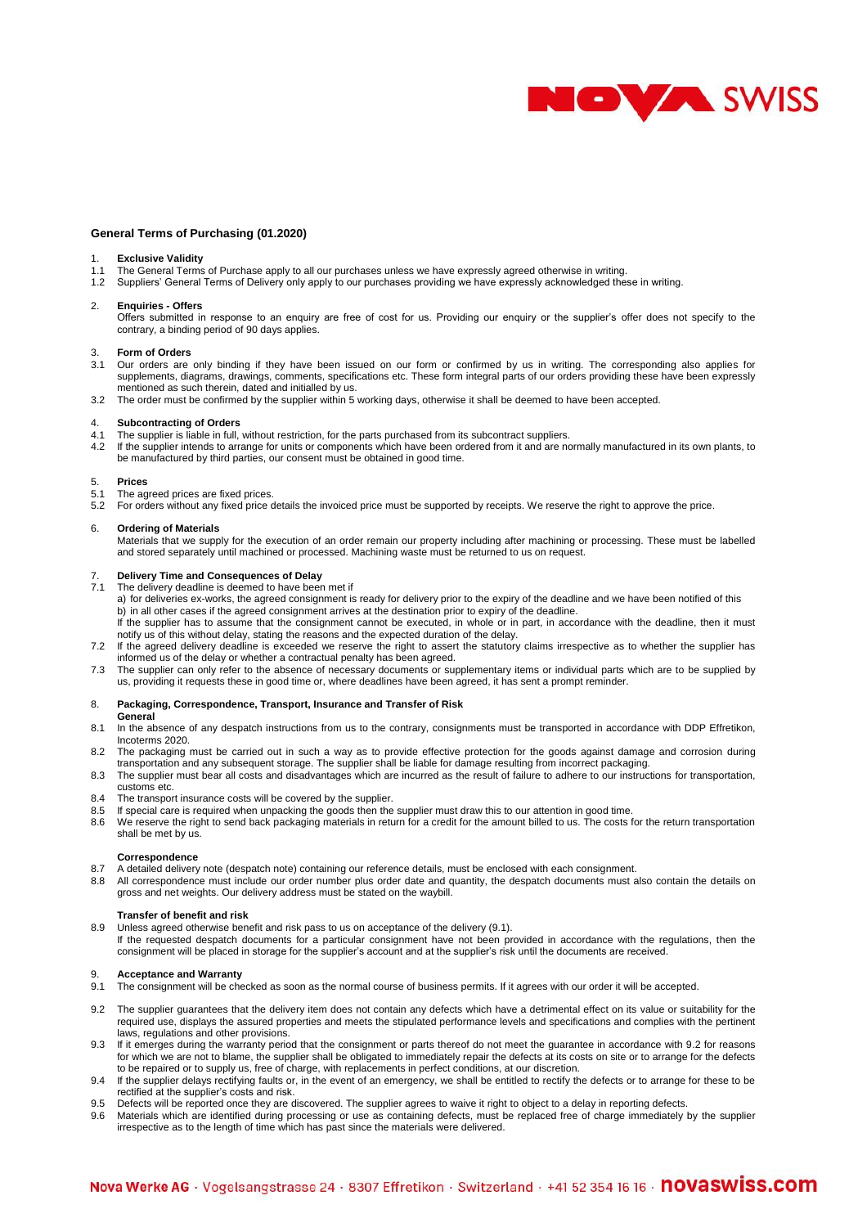

# **General Terms of Purchasing (01.2020)**

## **Exclusive Validity**

- 1.1 The General Terms of Purchase apply to all our purchases unless we have expressly agreed otherwise in writing.
- 1.2 Suppliers' General Terms of Delivery only apply to our purchases providing we have expressly acknowledged these in writing.

#### 2. **Enquiries - Offers**

Offers submitted in response to an enquiry are free of cost for us. Providing our enquiry or the supplier's offer does not specify to the contrary, a binding period of 90 days applies.

## 3. **Form of Orders**

- 3.1 Our orders are only binding if they have been issued on our form or confirmed by us in writing. The corresponding also applies for supplements, diagrams, drawings, comments, specifications etc. These form integral parts of our orders providing these have been expressly mentioned as such therein, dated and initialled by us.
- 3.2 The order must be confirmed by the supplier within 5 working days, otherwise it shall be deemed to have been accepted.

# 4. **Subcontracting of Orders**

- The supplier is liable in full, without restriction, for the parts purchased from its subcontract suppliers.
- 4.2 If the supplier intends to arrange for units or components which have been ordered from it and are normally manufactured in its own plants, to be manufactured by third parties, our consent must be obtained in good time.

#### 5. **Prices**

5.1 The agreed prices are fixed prices.

5.2 For orders without any fixed price details the invoiced price must be supported by receipts. We reserve the right to approve the price.

#### 6. **Ordering of Materials**

Materials that we supply for the execution of an order remain our property including after machining or processing. These must be labelled and stored separately until machined or processed. Machining waste must be returned to us on request.

## 7. **Delivery Time and Consequences of Delay**

7.1 The delivery deadline is deemed to have been met if

a) for deliveries ex-works, the agreed consignment is ready for delivery prior to the expiry of the deadline and we have been notified of this b) in all other cases if the agreed consignment arrives at the destination prior to expiry of the deadline.

If the supplier has to assume that the consignment cannot be executed, in whole or in part, in accordance with the deadline, then it must notify us of this without delay, stating the reasons and the expected duration of the delay.

- 7.2 If the agreed delivery deadline is exceeded we reserve the right to assert the statutory claims irrespective as to whether the supplier has informed us of the delay or whether a contractual penalty has been agreed.
- 7.3 The supplier can only refer to the absence of necessary documents or supplementary items or individual parts which are to be supplied by us, providing it requests these in good time or, where deadlines have been agreed, it has sent a prompt reminder.

# 8. **Packaging, Correspondence, Transport, Insurance and Transfer of Risk**

## **General**

- 8.1 In the absence of any despatch instructions from us to the contrary, consignments must be transported in accordance with DDP Effretikon, Incoterms 2020.
- 8.2 The packaging must be carried out in such a way as to provide effective protection for the goods against damage and corrosion during transportation and any subsequent storage. The supplier shall be liable for damage resulting from incorrect packaging.
- 8.3 The supplier must bear all costs and disadvantages which are incurred as the result of failure to adhere to our instructions for transportation, customs etc.
- 8.4 The transport insurance costs will be covered by the supplier.<br>8.5 If special care is required when unpacking the goods then the
- If special care is required when unpacking the goods then the supplier must draw this to our attention in good time.
- 8.6 We reserve the right to send back packaging materials in return for a credit for the amount billed to us. The costs for the return transportation shall be met by us.

## **Correspondence**

- 8.7 A detailed delivery note (despatch note) containing our reference details, must be enclosed with each consignment.
- 8.8 All correspondence must include our order number plus order date and quantity, the despatch documents must also contain the details on gross and net weights. Our delivery address must be stated on the waybill.

## **Transfer of benefit and risk**

8.9 Unless agreed otherwise benefit and risk pass to us on acceptance of the delivery (9.1). If the requested despatch documents for a particular consignment have not been provided in accordance with the regulations, then the consignment will be placed in storage for the supplier's account and at the supplier's risk until the documents are received.

#### 9. **Acceptance and Warranty**

- 9.1 The consignment will be checked as soon as the normal course of business permits. If it agrees with our order it will be accepted.
- 9.2 The supplier guarantees that the delivery item does not contain any defects which have a detrimental effect on its value or suitability for the required use, displays the assured properties and meets the stipulated performance levels and specifications and complies with the pertinent laws, regulations and other provisions.
- 9.3 If it emerges during the warranty period that the consignment or parts thereof do not meet the guarantee in accordance with 9.2 for reasons for which we are not to blame, the supplier shall be obligated to immediately repair the defects at its costs on site or to arrange for the defects to be repaired or to supply us, free of charge, with replacements in perfect conditions, at our discretion.
- 9.4 If the supplier delays rectifying faults or, in the event of an emergency, we shall be entitled to rectify the defects or to arrange for these to be rectified at the supplier's costs and risk.
- 9.5 Defects will be reported once they are discovered. The supplier agrees to waive it right to object to a delay in reporting defects.<br>9.6 Materials which are identified during processing or use as containing defects, mus
- 9.6 Materials which are identified during processing or use as containing defects, must be replaced free of charge immediately by the supplier irrespective as to the length of time which has past since the materials were delivered.